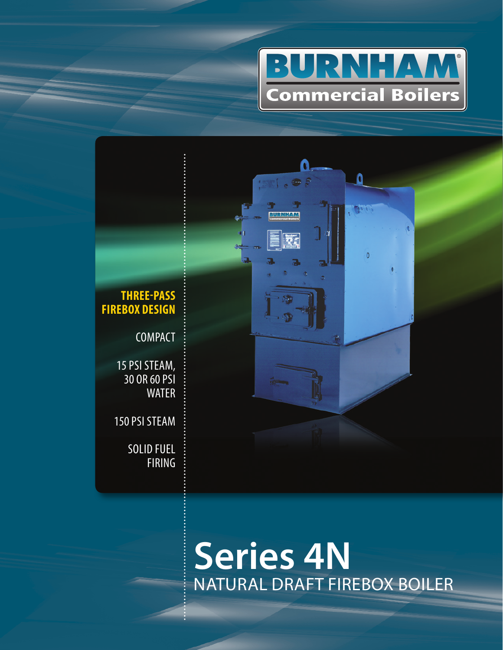



# NATURAL DRAFT FIREBOX BOILER **Series 4N**